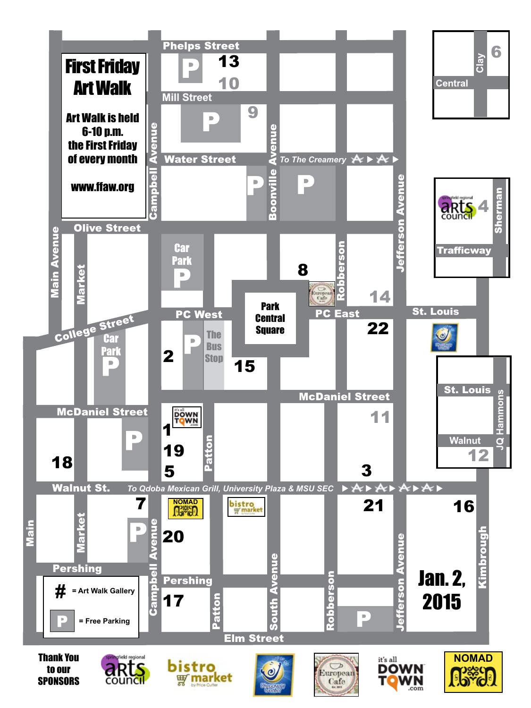